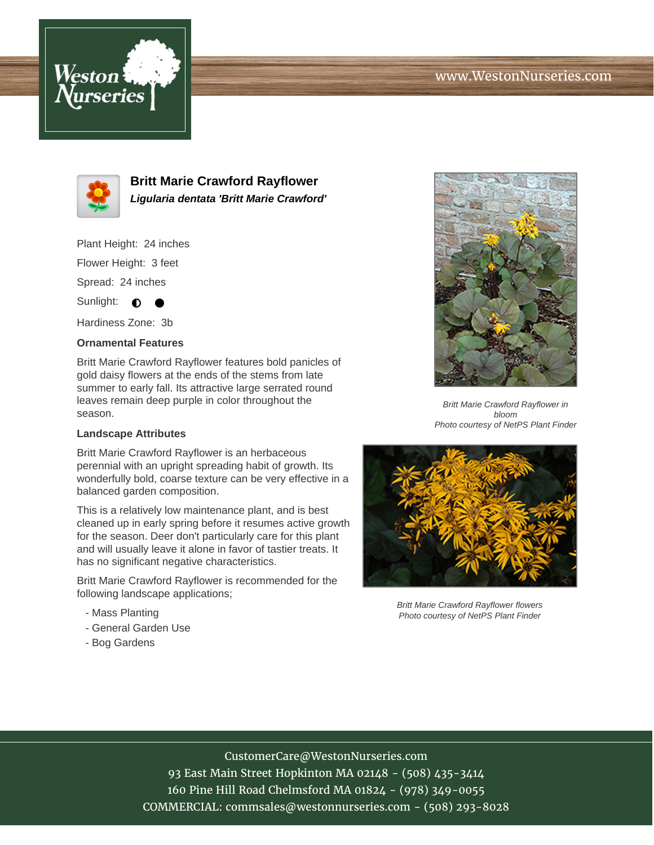## www.WestonNurseries.com





**Britt Marie Crawford Rayflower Ligularia dentata 'Britt Marie Crawford'**

Plant Height: 24 inches

Flower Height: 3 feet

Spread: 24 inches

Sunlight:  $\bullet$  $\bullet$ 

Hardiness Zone: 3b

### **Ornamental Features**

Britt Marie Crawford Rayflower features bold panicles of gold daisy flowers at the ends of the stems from late summer to early fall. Its attractive large serrated round leaves remain deep purple in color throughout the season.

#### **Landscape Attributes**

Britt Marie Crawford Rayflower is an herbaceous perennial with an upright spreading habit of growth. Its wonderfully bold, coarse texture can be very effective in a balanced garden composition.

This is a relatively low maintenance plant, and is best cleaned up in early spring before it resumes active growth for the season. Deer don't particularly care for this plant and will usually leave it alone in favor of tastier treats. It has no significant negative characteristics.

Britt Marie Crawford Rayflower is recommended for the following landscape applications;

- Mass Planting
- General Garden Use
- Bog Gardens



Britt Marie Crawford Rayflower in bloom Photo courtesy of NetPS Plant Finder



Britt Marie Crawford Rayflower flowers Photo courtesy of NetPS Plant Finder

# CustomerCare@WestonNurseries.com

93 East Main Street Hopkinton MA 02148 - (508) 435-3414 160 Pine Hill Road Chelmsford MA 01824 - (978) 349-0055 COMMERCIAL: commsales@westonnurseries.com - (508) 293-8028